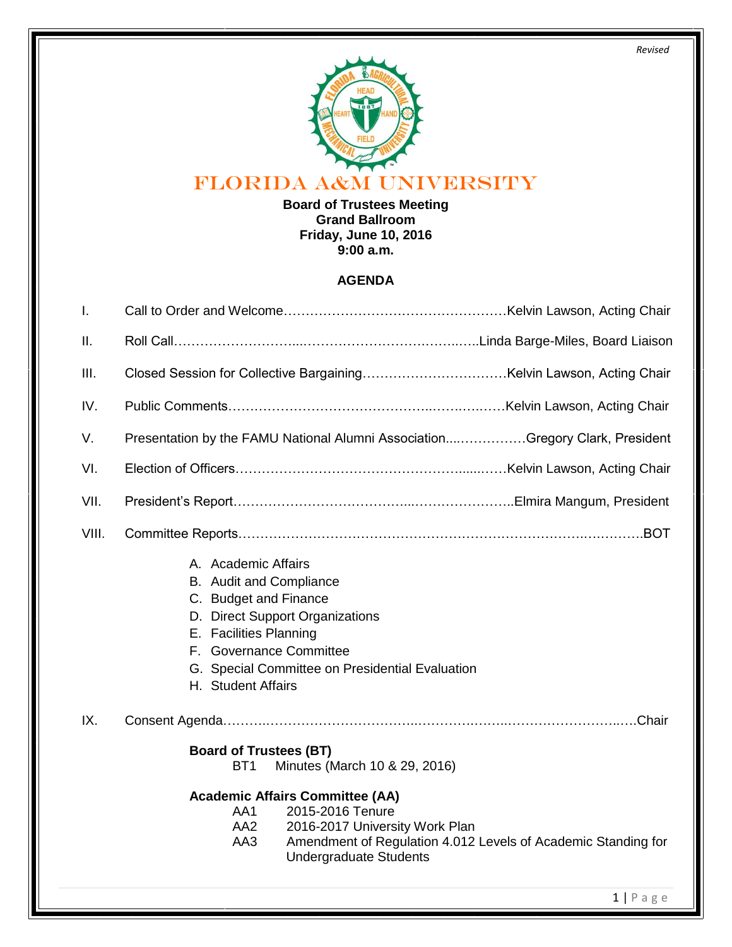*Revised*



# FLORIDA A&M UNIVERSITY

**Board of Trustees Meeting Grand Ballroom Friday, June 10, 2016 9:00 a.m.**

#### **AGENDA**

| T.    |                                                                                                                                                                                                                                          |  |  |
|-------|------------------------------------------------------------------------------------------------------------------------------------------------------------------------------------------------------------------------------------------|--|--|
| Ш.    |                                                                                                                                                                                                                                          |  |  |
| III.  |                                                                                                                                                                                                                                          |  |  |
| IV.   |                                                                                                                                                                                                                                          |  |  |
| V.    | Presentation by the FAMU National Alumni AssociationGregory Clark, President                                                                                                                                                             |  |  |
| VI.   |                                                                                                                                                                                                                                          |  |  |
| VII.  |                                                                                                                                                                                                                                          |  |  |
| VIII. |                                                                                                                                                                                                                                          |  |  |
|       | A. Academic Affairs<br>B. Audit and Compliance<br>C. Budget and Finance<br>D. Direct Support Organizations<br>E. Facilities Planning<br>F. Governance Committee<br>G. Special Committee on Presidential Evaluation<br>H. Student Affairs |  |  |
| IX.   |                                                                                                                                                                                                                                          |  |  |
|       | <b>Board of Trustees (BT)</b><br>BT <sub>1</sub><br>Minutes (March 10 & 29, 2016)                                                                                                                                                        |  |  |
|       | <b>Academic Affairs Committee (AA)</b><br>2015-2016 Tenure<br>AA1<br>AA <sub>2</sub><br>2016-2017 University Work Plan<br>AA3<br>Amendment of Regulation 4.012 Levels of Academic Standing for<br><b>Undergraduate Students</b>          |  |  |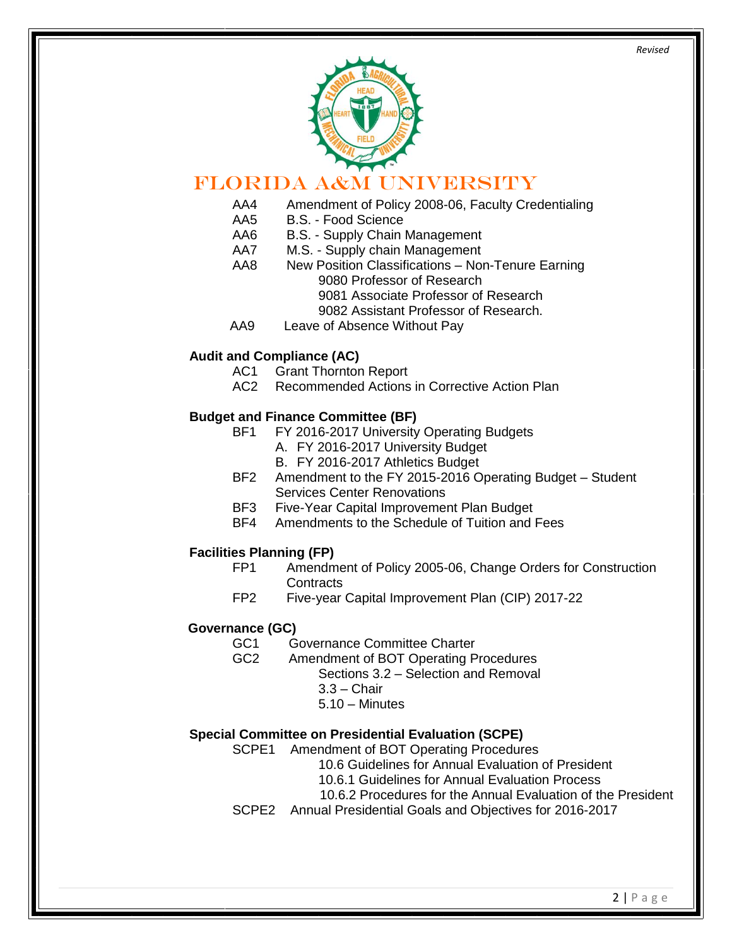

### FLORIDA A&M UNIVERSITY

- AA4 Amendment of Policy 2008-06, Faculty Credentialing<br>AA5 B.S. Food Science
- B.S. Food Science
- AA6 B.S. Supply Chain Management
- AA7 M.S. Supply chain Management
- AA8 New Position Classifications Non-Tenure Earning 9080 Professor of Research 9081 Associate Professor of Research
	- 9082 Assistant Professor of Research.
- AA9 Leave of Absence Without Pay

#### **Audit and Compliance (AC)**

- AC1 Grant Thornton Report
- AC2 Recommended Actions in Corrective Action Plan

#### **Budget and Finance Committee (BF)**

- BF1 FY 2016-2017 University Operating Budgets
	- A. FY 2016-2017 University Budget
	- B. FY 2016-2017 Athletics Budget
- BF2 Amendment to the FY 2015-2016 Operating Budget Student Services Center Renovations
- BF3 Five-Year Capital Improvement Plan Budget
- BF4 Amendments to the Schedule of Tuition and Fees

## **Facilities Planning (FP)**<br>FP1 Amendm

- Amendment of Policy 2005-06, Change Orders for Construction Contracts
- FP2 Five-year Capital Improvement Plan (CIP) 2017-22

#### **Governance (GC)**

- GC1 Governance Committee Charter
- GC2 Amendment of BOT Operating Procedures Sections 3.2 – Selection and Removal
	- 3.3 Chair
	- 5.10 Minutes

#### **Special Committee on Presidential Evaluation (SCPE)**

- SCPE1 Amendment of BOT Operating Procedures
	- 10.6 Guidelines for Annual Evaluation of President
	- 10.6.1 Guidelines for Annual Evaluation Process
	- 10.6.2 Procedures for the Annual Evaluation of the President
- SCPE2 Annual Presidential Goals and Objectives for 2016-2017